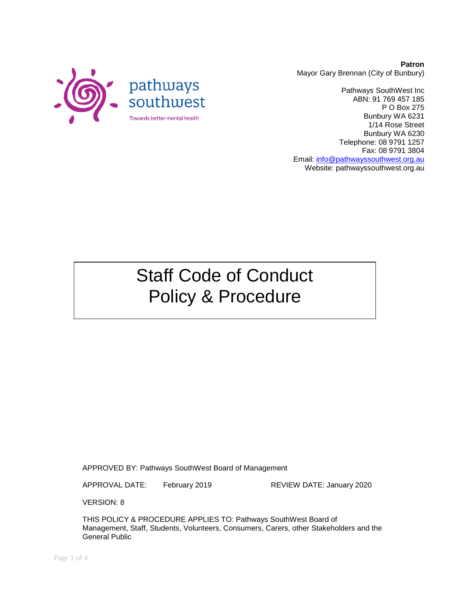

**Patron** Mayor Gary Brennan (City of Bunbury)

Pathways SouthWest Inc ABN: 91 769 457 185 P O Box 275 Bunbury WA 6231 1/14 Rose Street Bunbury WA 6230 Telephone: 08 9791 1257 Fax: 08 9791 3804 Email: [info@pathwayssouthwest.org.au](mailto:info@pathwayssouthwest.org.au) Website: pathwayssouthwest.org.au

# Staff Code of Conduct Policy & Procedure

APPROVED BY: Pathways SouthWest Board of Management

APPROVAL DATE: February 2019 REVIEW DATE: January 2020

VERSION: 8

THIS POLICY & PROCEDURE APPLIES TO: Pathways SouthWest Board of Management, Staff, Students, Volunteers, Consumers, Carers, other Stakeholders and the General Public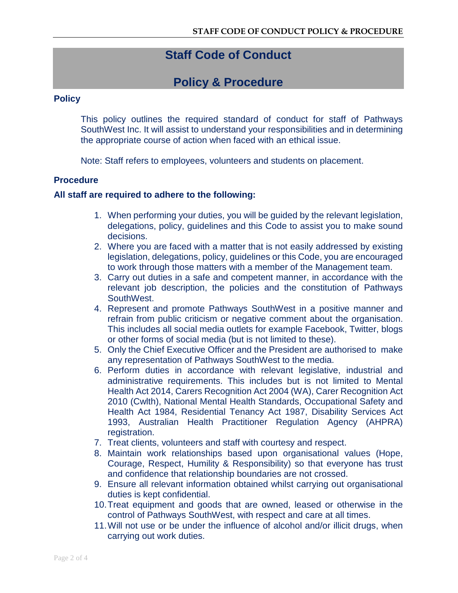## **Staff Code of Conduct**

### **Policy & Procedure**

#### **Policy**

This policy outlines the required standard of conduct for staff of Pathways SouthWest Inc. It will assist to understand your responsibilities and in determining the appropriate course of action when faced with an ethical issue.

Note: Staff refers to employees, volunteers and students on placement.

#### **Procedure**

#### **All staff are required to adhere to the following:**

- 1. When performing your duties, you will be guided by the relevant legislation, delegations, policy, guidelines and this Code to assist you to make sound decisions.
- 2. Where you are faced with a matter that is not easily addressed by existing legislation, delegations, policy, guidelines or this Code, you are encouraged to work through those matters with a member of the Management team.
- 3. Carry out duties in a safe and competent manner, in accordance with the relevant job description, the policies and the constitution of Pathways SouthWest.
- 4. Represent and promote Pathways SouthWest in a positive manner and refrain from public criticism or negative comment about the organisation. This includes all social media outlets for example Facebook, Twitter, blogs or other forms of social media (but is not limited to these).
- 5. Only the Chief Executive Officer and the President are authorised to make any representation of Pathways SouthWest to the media.
- 6. Perform duties in accordance with relevant legislative, industrial and administrative requirements. This includes but is not limited to Mental Health Act 2014, Carers Recognition Act 2004 (WA), Carer Recognition Act 2010 (Cwlth), National Mental Health Standards, Occupational Safety and Health Act 1984, Residential Tenancy Act 1987, Disability Services Act 1993, Australian Health Practitioner Regulation Agency (AHPRA) registration.
- 7. Treat clients, volunteers and staff with courtesy and respect.
- 8. Maintain work relationships based upon organisational values (Hope, Courage, Respect, Humility & Responsibility) so that everyone has trust and confidence that relationship boundaries are not crossed.
- 9. Ensure all relevant information obtained whilst carrying out organisational duties is kept confidential.
- 10.Treat equipment and goods that are owned, leased or otherwise in the control of Pathways SouthWest, with respect and care at all times.
- 11.Will not use or be under the influence of alcohol and/or illicit drugs, when carrying out work duties.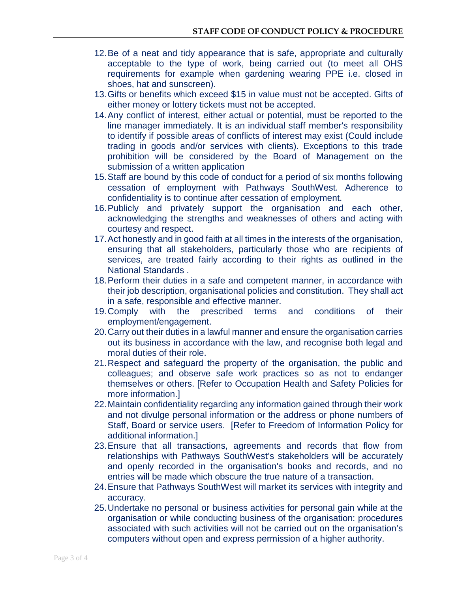- 12.Be of a neat and tidy appearance that is safe, appropriate and culturally acceptable to the type of work, being carried out (to meet all OHS requirements for example when gardening wearing PPE i.e. closed in shoes, hat and sunscreen).
- 13.Gifts or benefits which exceed \$15 in value must not be accepted. Gifts of either money or lottery tickets must not be accepted.
- 14.Any conflict of interest, either actual or potential, must be reported to the line manager immediately. It is an individual staff member's responsibility to identify if possible areas of conflicts of interest may exist (Could include trading in goods and/or services with clients). Exceptions to this trade prohibition will be considered by the Board of Management on the submission of a written application
- 15.Staff are bound by this code of conduct for a period of six months following cessation of employment with Pathways SouthWest. Adherence to confidentiality is to continue after cessation of employment.
- 16.Publicly and privately support the organisation and each other, acknowledging the strengths and weaknesses of others and acting with courtesy and respect.
- 17.Act honestly and in good faith at all times in the interests of the organisation, ensuring that all stakeholders, particularly those who are recipients of services, are treated fairly according to their rights as outlined in the National Standards .
- 18.Perform their duties in a safe and competent manner, in accordance with their job description, organisational policies and constitution. They shall act in a safe, responsible and effective manner.
- 19.Comply with the prescribed terms and conditions of their employment/engagement.
- 20.Carry out their duties in a lawful manner and ensure the organisation carries out its business in accordance with the law, and recognise both legal and moral duties of their role.
- 21.Respect and safeguard the property of the organisation, the public and colleagues; and observe safe work practices so as not to endanger themselves or others. [Refer to Occupation Health and Safety Policies for more information.]
- 22.Maintain confidentiality regarding any information gained through their work and not divulge personal information or the address or phone numbers of Staff, Board or service users. [Refer to Freedom of Information Policy for additional information.]
- 23.Ensure that all transactions, agreements and records that flow from relationships with Pathways SouthWest's stakeholders will be accurately and openly recorded in the organisation's books and records, and no entries will be made which obscure the true nature of a transaction.
- 24.Ensure that Pathways SouthWest will market its services with integrity and accuracy.
- 25.Undertake no personal or business activities for personal gain while at the organisation or while conducting business of the organisation: procedures associated with such activities will not be carried out on the organisation's computers without open and express permission of a higher authority.